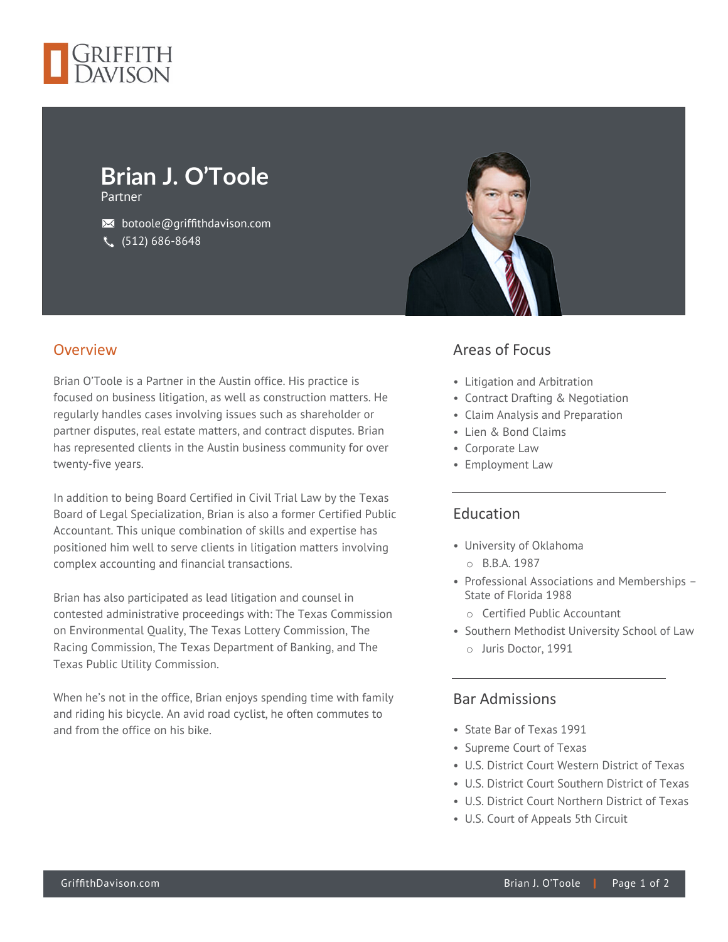

# **Brian J. O'Toole**

Partner

 $\bowtie$  botoole@griffithdavison.com (512) 686-8648

#### Overview

Brian O'Toole is a Partner in the Austin office. His practice is focused on business litigation, as well as construction matters. He regularly handles cases involving issues such as shareholder or partner disputes, real estate matters, and contract disputes. Brian has represented clients in the Austin business community for over twenty-five years.

In addition to being Board Certified in Civil Trial Law by the Texas Board of Legal Specialization, Brian is also a former Certified Public Accountant. This unique combination of skills and expertise has positioned him well to serve clients in litigation matters involving complex accounting and financial transactions.

Brian has also participated as lead litigation and counsel in contested administrative proceedings with: The Texas Commission on Environmental Quality, The Texas Lottery Commission, The Racing Commission, The Texas Department of Banking, and The Texas Public Utility Commission.

When he's not in the office, Brian enjoys spending time with family and riding his bicycle. An avid road cyclist, he often commutes to and from the office on his bike.



### Areas of Focus

- Litigation and Arbitration
- Contract Drafting & Negotiation
- Claim Analysis and Preparation
- Lien & Bond Claims
- Corporate Law
- Employment Law

#### Education

- University of Oklahoma o B.B.A. 1987
- Professional Associations and Memberships State of Florida 1988
	- o Certified Public Accountant
- Southern Methodist University School of Law o Juris Doctor, 1991

#### Bar Admissions

- State Bar of Texas 1991
- Supreme Court of Texas
- U.S. District Court Western District of Texas
- U.S. District Court Southern District of Texas
- U.S. District Court Northern District of Texas
- U.S. Court of Appeals 5th Circuit